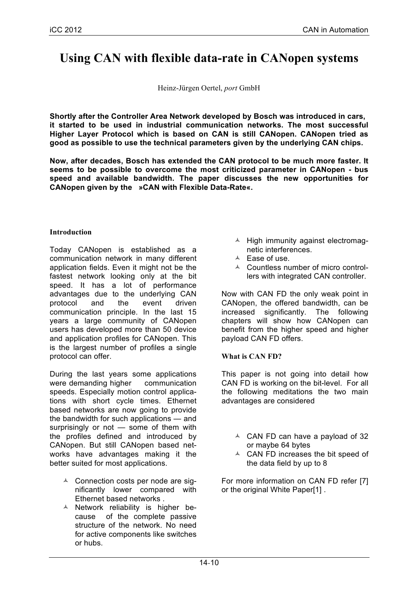# **Using CAN with flexible data-rate in CANopen systems**

Heinz-Jürgen Oertel, *port* GmbH

**Shortly after the Controller Area Network developed by Bosch was introduced in cars, it started to be used in industrial communication networks. The most successful Higher Layer Protocol which is based on CAN is still CANopen. CANopen tried as good as possible to use the technical parameters given by the underlying CAN chips.**

**Now, after decades, Bosch has extended the CAN protocol to be much more faster. It seems to be possible to overcome the most criticized parameter in CANopen - bus speed and available bandwidth. The paper discusses the new opportunities for CANopen given by the »CAN with Flexible Data-Rate«.**

#### **Introduction**

Today CANopen is established as a communication network in many different application fields. Even it might not be the fastest network looking only at the bit speed. It has a lot of performance advantages due to the underlying CAN protocol and the event driven communication principle. In the last 15 years a large community of CANopen users has developed more than 50 device and application profiles for CANopen. This is the largest number of profiles a single protocol can offer.

During the last years some applications were demanding higher communication speeds. Especially motion control applications with short cycle times. Ethernet based networks are now going to provide the bandwidth for such applications — and surprisingly or not - some of them with the profiles defined and introduced by CANopen. But still CANopen based networks have advantages making it the better suited for most applications.

- $\triangle$  Connection costs per node are significantly lower compared with Ethernet based networks .
- $\triangle$  Network reliability is higher because of the complete passive structure of the network. No need for active components like switches or hubs.
- $\triangle$  High immunity against electromagnetic interferences.
- $\triangle$  Ease of use.
- $\triangle$  Countless number of micro controllers with integrated CAN controller.

Now with CAN FD the only weak point in CANopen, the offered bandwidth, can be increased significantly. The following chapters will show how CANopen can benefit from the higher speed and higher payload CAN FD offers.

# **What is CAN FD?**

This paper is not going into detail how CAN FD is working on the bit-level. For all the following meditations the two main advantages are considered

- $\triangle$  CAN FD can have a payload of 32 or maybe 64 bytes
- $\triangle$  CAN FD increases the bit speed of the data field by up to 8

For more information on CAN FD refer [7] or the original White Paper[1] .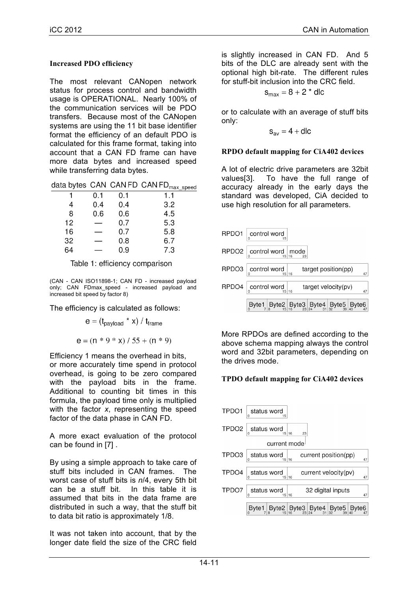# **Increased PDO efficiency**

The most relevant CANopen network status for process control and bandwidth usage is OPERATIONAL. Nearly 100% of the communication services will be PDO transfers. Because most of the CANopen systems are using the 11 bit base identifier format the efficiency of an default PDO is calculated for this frame format, taking into account that a CAN FD frame can have more data bytes and increased speed while transferring data bytes.

|  | data bytes CAN CAN FD CAN FD <sub>max speed</sub> |  |
|--|---------------------------------------------------|--|
|  |                                                   |  |

|    | 0.1 | 0.1 | 1.1 |
|----|-----|-----|-----|
| 4  | 0.4 | 0.4 | 3.2 |
| 8  | 0.6 | 0.6 | 4.5 |
| 12 |     | 0.7 | 5.3 |
| 16 |     | 0.7 | 5.8 |
| 32 |     | 0.8 | 6.7 |
| 64 |     | 0.9 | 7.3 |

#### Table 1: efficiency comparison

(CAN - CAN ISO11898-1; CAN FD - increased payload only; CAN FDmax\_speed - increased payload and increased bit speed by factor 8)

The efficiency is calculated as follows:

$$
e = (t_{\text{payload}} * x) / t_{\text{frame}}
$$

$$
e = (n * 9 * x) / 55 + (n * 9)
$$

Efficiency 1 means the overhead in bits, or more accurately time spend in protocol overhead, is going to be zero compared with the payload bits in the frame. Additional to counting bit times in this formula, the payload time only is multiplied with the factor *x*, representing the speed factor of the data phase in CAN FD.

A more exact evaluation of the protocol can be found in [7] .

By using a simple approach to take care of stuff bits included in CAN frames. The worst case of stuff bits is *n*/4, every 5th bit can be a stuff bit. In this table it is assumed that bits in the data frame are distributed in such a way, that the stuff bit to data bit ratio is approximately 1/8.

It was not taken into account, that by the longer date field the size of the CRC field is slightly increased in CAN FD. And 5 bits of the DLC are already sent with the optional high bit-rate. The different rules for stuff-bit inclusion into the CRC field.

$$
s_{max} = 8 + 2 * dlc
$$

or to calculate with an average of stuff bits only:

 $S_{av} = 4 +$ dlc

#### **RPDO default mapping for CiA402 devices**

A lot of electric drive parameters are 32bit values[3]. To have the full range of accuracy already in the early days the standard was developed, CiA decided to use high resolution for all parameters.

| RPDO1                                                     | $\int$ control word $\int_{15}$ |              |  |                           |                                                                                                                                                                                                                                                         |
|-----------------------------------------------------------|---------------------------------|--------------|--|---------------------------|---------------------------------------------------------------------------------------------------------------------------------------------------------------------------------------------------------------------------------------------------------|
| $RPDO2 \nvert_{\Omega}$ control word $\vert$ mode $\vert$ |                                 |              |  |                           |                                                                                                                                                                                                                                                         |
| RPDO3                                                     | control word $\int_{15}$ 16     |              |  | $target$ position( $pp$ ) | 47                                                                                                                                                                                                                                                      |
| RPDO4                                                     |                                 | control word |  | target velocity(pv)       | 47                                                                                                                                                                                                                                                      |
|                                                           |                                 |              |  |                           | ${\sf B}$ yte $1\!\!\!{\;\mid\;}_{\!\!8}$ Byte $2\!\!\!{\;\mid\;}_{\!\!16}^{\sf B}$ yte $3\!\!\!{\;\mid\;}_{\!\!24}^{\sf B}$ yte $4\!\!\!{\;\mid\;}_{\!\!32}^{\sf B}$ yte $5\!\!\!{\;\mid\;}_{\!\!40}^{\sf B}$ yte $6\!\!\!{\;\mid\;}_{\!\!47}^{\sf B}$ |

More RPDOs are defined according to the above schema mapping always the control word and 32bit parameters, depending on the drives mode.

# **TPDO default mapping for CiA402 devices**

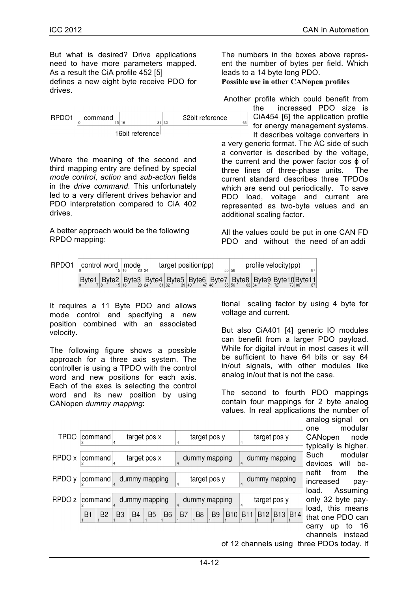But what is desired? Drive applications need to have more parameters mapped. As a result the CiA profile 452 [5] defines a new eight byte receive PDO for drives.

|                 | command |  | 16 |  | 32 | 32bit reference |
|-----------------|---------|--|----|--|----|-----------------|
| 16bit reference |         |  |    |  |    |                 |

Where the meaning of the second and third mapping entry are defined by special *mode control*, *action* and *sub-action* fields in the *drive command*. This unfortunately led to a very different drives behavior and PDO interpretation compared to CiA 402 drives.

A better approach would be the following RPDO mapping:

The numbers in the boxes above represent the number of bytes per field. Which leads to a 14 byte long PDO.

**Possible use in other CANopen profiles**

Another profile which could benefit from

the increased PDO size is CiA454 [6] the application profile 63 for energy management systems. It describes voltage converters in

a very generic format. The AC side of such a converter is described by the voltage, the current and the power factor cos ϕ of three lines of three-phase units. The current standard describes three TPDOs which are send out periodically. To save PDO load, voltage and current are represented as two-byte values and an additional scaling factor.

All the values could be put in one CAN FD PDO and without the need of an addi

| RPDO1 | control word   mode | 23 24 | target position(pp) |  | 55 56 | profile velocity(pp) | 87                                                                                                                                                                                                                                                                                                                                                                                                                                                                      |
|-------|---------------------|-------|---------------------|--|-------|----------------------|-------------------------------------------------------------------------------------------------------------------------------------------------------------------------------------------------------------------------------------------------------------------------------------------------------------------------------------------------------------------------------------------------------------------------------------------------------------------------|
|       |                     |       |                     |  |       |                      | $\left. \left. \right  \mathsf{Byte1} \right _{78} \text{Byte2} \left. \left  \mathsf{Byte3} \right _{8} \text{Byte3} \right _{24} \text{yle4} \left. \left  \mathsf{Byte5} \right _{32} \text{Byte5} \right _{40} \text{yle6} \left. \left  \mathsf{Byte7} \right _{48} \text{yle7} \right _{56} \text{Byte8} \left. \left  \mathsf{Byte9} \right _{64} \text{Byte10} \right _{72} \text{ReLU11} \right _{37} \text{ReLU12} \left. \left  \mathsf{Byte11} \right _{37$ |

It requires a 11 Byte PDO and allows mode control and specifying a new position combined with an associated velocity.

The following figure shows a possible approach for a three axis system. The controller is using a TPDO with the control word and new positions for each axis. Each of the axes is selecting the control word and its new position by using CANopen *dummy mapping*:

tional scaling factor by using 4 byte for voltage and current.

But also CiA401 [4] generic IO modules can benefit from a larger PDO payload. While for digital in/out in most cases it will be sufficient to have 64 bits or say 64 in/out signals, with other modules like analog in/out that is not the case.

The second to fourth PDO mappings contain four mappings for 2 byte analog values. In real applications the number of analog signal on

one modular CANopen node typically is higher. Such modular devices will benefit from the increased payload. Assuming only 32 byte payload, this means that one PDO can carry up to 16 channels instead

of 12 channels using three PDOs today. If

| <b>TPDO</b>       | command |           | $\overline{4}$ |                | target pos x   |                | 4              |                | target pos y   |            |                | target pos y  |                 |
|-------------------|---------|-----------|----------------|----------------|----------------|----------------|----------------|----------------|----------------|------------|----------------|---------------|-----------------|
| RPDO x            | command |           | $\overline{4}$ |                | target pos x   |                |                |                | dummy mapping  |            |                | dummy mapping |                 |
| RPDO y            | command |           |                |                | dummy mapping  |                |                |                | target pos y   |            | $\overline{4}$ | dummy mapping |                 |
| RPDO <sub>z</sub> | command |           |                |                | dummy mapping  |                | $\overline{4}$ |                | dummy mapping  |            |                | target pos y  |                 |
|                   | B1      | <b>B2</b> | B <sub>3</sub> | B <sub>4</sub> | B <sub>5</sub> | B <sub>6</sub> | B7             | B <sub>8</sub> | B <sub>9</sub> | <b>B10</b> | <b>B11</b>     | B12 B13       | B <sub>14</sub> |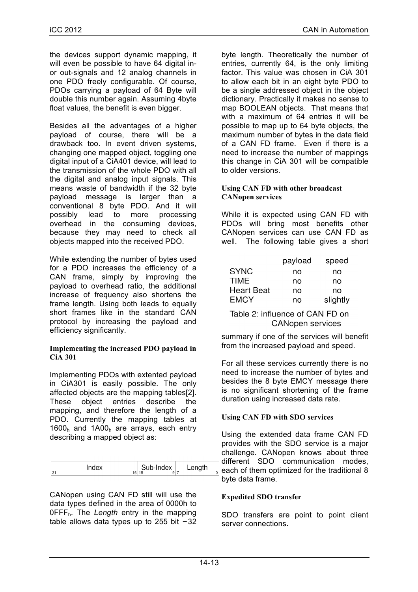the devices support dynamic mapping, it will even be possible to have 64 digital inor out-signals and 12 analog channels in one PDO freely configurable. Of course, PDOs carrying a payload of 64 Byte will double this number again. Assuming 4byte float values, the benefit is even bigger.

Besides all the advantages of a higher payload of course, there will be a drawback too. In event driven systems, changing one mapped object, toggling one digital input of a CiA401 device, will lead to the transmission of the whole PDO with all the digital and analog input signals. This means waste of bandwidth if the 32 byte payload message is larger than a conventional 8 byte PDO. And it will possibly lead to more processing overhead in the consuming devices, because they may need to check all objects mapped into the received PDO.

While extending the number of bytes used for a PDO increases the efficiency of a CAN frame, simply by improving the payload to overhead ratio, the additional increase of frequency also shortens the frame length. Using both leads to equally short frames like in the standard CAN protocol by increasing the payload and efficiency significantly.

#### **Implementing the increased PDO payload in CiA 301**

Implementing PDOs with extented payload in CiA301 is easily possible. The only affected objects are the mapping tables[2]. These object entries describe the mapping, and therefore the length of a PDO. Currently the mapping tables at 1600h and 1A00h are arrays, each entry describing a mapped object as:

| Index | Sub-Index<br>16 15<br>$QI^-$ | Length |  |
|-------|------------------------------|--------|--|
|-------|------------------------------|--------|--|

CANopen using CAN FD still will use the data types defined in the area of 0000h to 0FFFh. The *Length* entry in the mapping table allows data types up to 255 bit  $-32$ 

byte length. Theoretically the number of entries, currently 64, is the only limiting factor. This value was chosen in CiA 301 to allow each bit in an eight byte PDO to be a single addressed object in the object dictionary. Practically it makes no sense to map BOOLEAN objects. That means that with a maximum of 64 entries it will be possible to map up to 64 byte objects, the maximum number of bytes in the data field of a CAN FD frame. Even if there is a need to increase the number of mappings this change in CiA 301 will be compatible to older versions.

#### **Using CAN FD with other broadcast CANopen services**

While it is expected using CAN FD with PDOs will bring most benefits other CANopen services can use CAN FD as well. The following table gives a short

|                   | payload | speed    |
|-------------------|---------|----------|
| <b>SYNC</b>       | no      | no       |
| TIMF              | no      | no       |
| <b>Heart Beat</b> | no      | no       |
| <b>EMCY</b>       | no      | slightly |

Table 2: influence of CAN FD on **CANopen services** 

summary if one of the services will benefit from the increased payload and speed.

For all these services currently there is no need to increase the number of bytes and besides the 8 byte EMCY message there is no significant shortening of the frame duration using increased data rate.

# **Using CAN FD with SDO services**

Using the extended data frame CAN FD provides with the SDO service is a major challenge. CANopen knows about three different SDO communication modes, each of them optimized for the traditional 8 byte data frame.

#### **Expedited SDO transfer**

SDO transfers are point to point client server connections.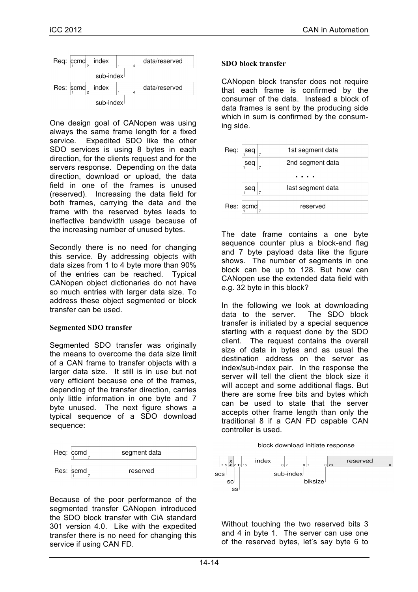

One design goal of CANopen was using always the same frame length for a fixed service. Expedited SDO like the other SDO services is using 8 bytes in each direction, for the clients request and for the servers response. Depending on the data direction, download or upload, the data field in one of the frames is unused (reserved). Increasing the data field for both frames, carrying the data and the frame with the reserved bytes leads to ineffective bandwidth usage because of the increasing number of unused bytes.

Secondly there is no need for changing this service. By addressing objects with data sizes from 1 to 4 byte more than 90% of the entries can be reached. Typical CANopen object dictionaries do not have so much entries with larger data size. To address these object segmented or block transfer can be used.

#### **Segmented SDO transfer**

Segmented SDO transfer was originally the means to overcome the data size limit of a CAN frame to transfer objects with a larger data size. It still is in use but not very efficient because one of the frames, depending of the transfer direction, carries only little information in one byte and 7 byte unused. The next figure shows a typical sequence of a SDO download sequence:



Because of the poor performance of the segmented transfer CANopen introduced the SDO block transfer with CiA standard 301 version 4.0. Like with the expedited transfer there is no need for changing this service if using CAN FD.

#### **SDO block transfer**

CANopen block transfer does not require that each frame is confirmed by the consumer of the data. Instead a block of data frames is sent by the producing side which in sum is confirmed by the consuming side.



The date frame contains a one byte sequence counter plus a block-end flag and 7 byte payload data like the figure shows. The number of segments in one block can be up to 128. But how can CANopen use the extended data field with e.g. 32 byte in this block?

In the following we look at downloading data to the server. The SDO block transfer is initiated by a special sequence starting with a request done by the SDO client. The request contains the overall size of data in bytes and as usual the destination address on the server as index/sub-index pair. In the response the server will tell the client the block size it will accept and some additional flags. But there are some free bits and bytes which can be used to state that the server accepts other frame length than only the traditional 8 if a CAN FD capable CAN controller is used.





Without touching the two reserved bits 3 and 4 in byte 1. The server can use one of the reserved bytes, let's say byte 6 to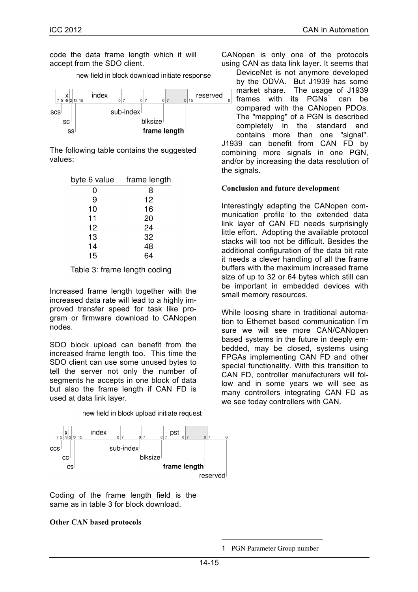code the data frame length which it will accept from the SDO client.

new field in block download initiate response



The following table contains the suggested values:

| byte 6 value | frame length |
|--------------|--------------|
| 0            | 8            |
| 9            | 12           |
| 10           | 16           |
| 11           | 20           |
| 12           | 24           |
| 13           | 32           |
| 14           | 48           |
| 15           |              |

Table 3: frame length coding

Increased frame length together with the increased data rate will lead to a highly improved transfer speed for task like program or firmware download to CANopen nodes.

SDO block upload can benefit from the increased frame length too. This time the SDO client can use some unused bytes to tell the server not only the number of segments he accepts in one block of data but also the frame length if CAN FD is used at data link layer.

index pst  $\left| \begin{array}{c} \mathsf{X} \\ \mathsf{Z} & 5 \end{array} \right|$   $\left| \begin{array}{c} \mathsf{X} \\ \mathsf{Z} & 2 \end{array} \right|$  15 حام  $\frac{1}{2}$  $\overline{0}$ sub-index ccs blksize  $cc<sub>1</sub>$ frame length <sub>CS</sub> reserved

new field in block upload initiate request

Coding of the frame length field is the same as in table 3 for block download.

# **Other CAN based protocols**

CANopen is only one of the protocols using CAN as data link layer. It seems that

DeviceNet is not anymore developed by the ODVA. But J1939 has some market share. The usage of J1939 frames with its  $PGNs<sup>1</sup>$  can be  $\circ$ compared with the CANopen PDOs. The "mapping" of a PGN is described completely in the standard and contains more than one "signal". J1939 can benefit from CAN FD by combining more signals in one PGN, and/or by increasing the data resolution of the signals.

# **Conclusion and future development**

Interestingly adapting the CANopen communication profile to the extended data link layer of CAN FD needs surprisingly little effort. Adopting the available protocol stacks will too not be difficult. Besides the additional configuration of the data bit rate it needs a clever handling of all the frame buffers with the maximum increased frame size of up to 32 or 64 bytes which still can be important in embedded devices with small memory resources.

While loosing share in traditional automation to Ethernet based communication I'm sure we will see more CAN/CANopen based systems in the future in deeply embedded, may be closed, systems using FPGAs implementing CAN FD and other special functionality. With this transition to CAN FD, controller manufacturers will follow and in some years we will see as many controllers integrating CAN FD as we see today controllers with CAN.

 $\overline{a}$ 

<sup>1</sup> PGN Parameter Group number